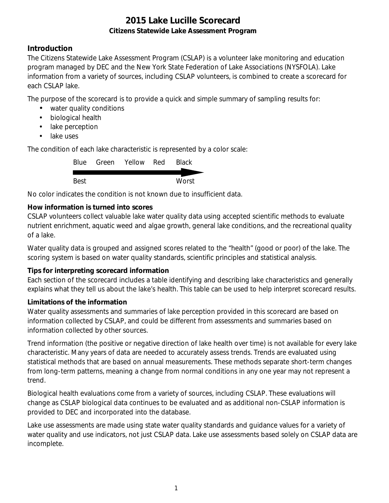## **Introduction**

The Citizens Statewide Lake Assessment Program (CSLAP) is a volunteer lake monitoring and education program managed by DEC and the New York State Federation of Lake Associations (NYSFOLA). Lake information from a variety of sources, including CSLAP volunteers, is combined to create a scorecard for each CSLAP lake.

The purpose of the scorecard is to provide a quick and simple summary of sampling results for:

- water quality conditions
- $\mathcal{L}^{\text{max}}$ biological health
- . lake perception
- L. lake uses

The condition of each lake characteristic is represented by a color scale:

|      | Blue Green Yellow Red | <b>Black</b> |
|------|-----------------------|--------------|
|      |                       |              |
| Best |                       | Worst        |

No color indicates the condition is not known due to insufficient data.

## **How information is turned into scores**

CSLAP volunteers collect valuable lake water quality data using accepted scientific methods to evaluate nutrient enrichment, aquatic weed and algae growth, general lake conditions, and the recreational quality of a lake.

Water quality data is grouped and assigned scores related to the "health" (good or poor) of the lake. The scoring system is based on water quality standards, scientific principles and statistical analysis.

#### **Tips for interpreting scorecard information**

Each section of the scorecard includes a table identifying and describing lake characteristics and generally explains what they tell us about the lake's health. This table can be used to help interpret scorecard results.

#### **Limitations of the information**

Water quality assessments and summaries of lake perception provided in this scorecard are based on information collected by CSLAP, and could be different from assessments and summaries based on information collected by other sources.

Trend information (the positive or negative direction of lake health over time) is not available for every lake characteristic. Many years of data are needed to accurately assess trends. Trends are evaluated using statistical methods that are based on annual measurements. These methods separate short-term changes from long-term patterns, meaning a change from normal conditions in any one year may not represent a trend.

Biological health evaluations come from a variety of sources, including CSLAP. These evaluations will change as CSLAP biological data continues to be evaluated and as additional non-CSLAP information is provided to DEC and incorporated into the database.

Lake use assessments are made using state water quality standards and guidance values for a variety of water quality and use indicators, not just CSLAP data. Lake use assessments based solely on CSLAP data are incomplete.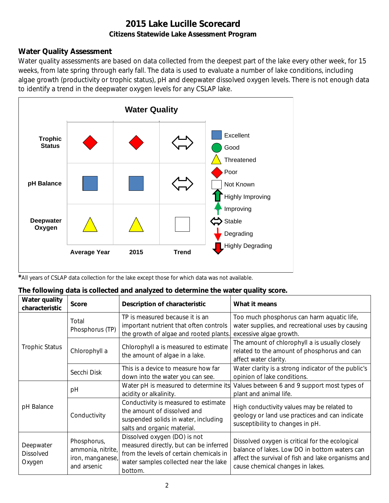## **Water Quality Assessment**

Water quality assessments are based on data collected from the deepest part of the lake every other week, for 15 weeks, from late spring through early fall. The data is used to evaluate a number of lake conditions, including algae growth (productivity or trophic status), pH and deepwater dissolved oxygen levels. There is not enough data to identify a trend in the deepwater oxygen levels for any CSLAP lake.



*\**All years of CSLAP data collection for the lake except those for which data was not available.

#### **The following data is collected and analyzed to determine the water quality score.**

| Water quality<br>characteristic         | <b>Score</b>                                                        | Description of characteristic                                                                                                                                         | What it means                                                                                                                                                                              |
|-----------------------------------------|---------------------------------------------------------------------|-----------------------------------------------------------------------------------------------------------------------------------------------------------------------|--------------------------------------------------------------------------------------------------------------------------------------------------------------------------------------------|
|                                         | Total<br>Phosphorus (TP)                                            | TP is measured because it is an<br>important nutrient that often controls<br>the growth of algae and rooted plants.                                                   | Too much phosphorus can harm aquatic life,<br>water supplies, and recreational uses by causing<br>excessive algae growth.                                                                  |
| <b>Trophic Status</b>                   | Chlorophyll a                                                       | Chlorophyll a is measured to estimate<br>the amount of algae in a lake.                                                                                               | The amount of chlorophyll a is usually closely<br>related to the amount of phosphorus and can<br>affect water clarity.                                                                     |
|                                         | Secchi Disk                                                         | This is a device to measure how far<br>down into the water you can see.                                                                                               | Water clarity is a strong indicator of the public's<br>opinion of lake conditions.                                                                                                         |
| pH Balance                              | рH                                                                  | Water pH is measured to determine its<br>acidity or alkalinity.                                                                                                       | Values between 6 and 9 support most types of<br>plant and animal life.                                                                                                                     |
|                                         | Conductivity                                                        | Conductivity is measured to estimate<br>the amount of dissolved and<br>suspended solids in water, including<br>salts and organic material.                            | High conductivity values may be related to<br>geology or land use practices and can indicate<br>susceptibility to changes in pH.                                                           |
| Deepwater<br><b>Dissolved</b><br>Oxygen | Phosphorus,<br>ammonia, nitrite,<br>iron, manganese,<br>and arsenic | Dissolved oxygen (DO) is not<br>measured directly, but can be inferred<br>from the levels of certain chemicals in<br>water samples collected near the lake<br>bottom. | Dissolved oxygen is critical for the ecological<br>balance of lakes. Low DO in bottom waters can<br>affect the survival of fish and lake organisms and<br>cause chemical changes in lakes. |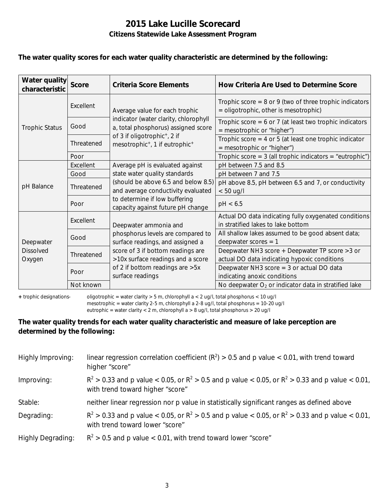#### **The water quality scores for each water quality characteristic are determined by the following:**

| Water quality<br>characteristic         | <b>Score</b> | Criteria Score Elements                                                                                        | How Criteria Are Used to Determine Score                                                             |
|-----------------------------------------|--------------|----------------------------------------------------------------------------------------------------------------|------------------------------------------------------------------------------------------------------|
| <b>Trophic Status</b>                   | Excellent    | Average value for each trophic<br>indicator (water clarity, chlorophyll<br>a, total phosphorus) assigned score | Trophic score = $8$ or $9$ (two of three trophic indicators<br>= oligotrophic, other is mesotrophic) |
|                                         | Good         |                                                                                                                | Trophic score = $6$ or 7 (at least two trophic indicators<br>$=$ mesotrophic or "higher")            |
|                                         | Threatened   | of 3 if oligotrophic <sup>+</sup> , 2 if<br>mesotrophic <sup>+</sup> , 1 if eutrophic <sup>+</sup>             | Trophic score = $4$ or $5$ (at least one trophic indicator<br>= mesotrophic or "higher")             |
|                                         | Poor         |                                                                                                                | Trophic score = $3$ (all trophic indicators = "eutrophic")                                           |
| pH Balance                              | Excellent    | Average pH is evaluated against                                                                                | pH between 7.5 and 8.5                                                                               |
|                                         | Good         | state water quality standards                                                                                  | pH between 7 and 7.5                                                                                 |
|                                         | Threatened   | (should be above 6.5 and below 8.5)<br>and average conductivity evaluated                                      | pH above 8.5, pH between 6.5 and 7, or conductivity<br>$< 50$ ug/l                                   |
|                                         | Poor         | to determine if low buffering<br>capacity against future pH change                                             | pH < 6.5                                                                                             |
| Deepwater<br><b>Dissolved</b><br>Oxygen | Excellent    | Deepwater ammonia and                                                                                          | Actual DO data indicating fully oxygenated conditions<br>in stratified lakes to lake bottom          |
|                                         | Good         | phosphorus levels are compared to<br>surface readings, and assigned a                                          | All shallow lakes assumed to be good absent data;<br>deepwater scores $= 1$                          |
|                                         | Threatened   | score of 3 if bottom readings are<br>>10x surface readings and a score                                         | Deepwater NH3 score + Deepwater TP score > 3 or<br>actual DO data indicating hypoxic conditions      |
|                                         | Poor         | of 2 if bottom readings are > 5x<br>surface readings                                                           | Deepwater NH3 score $=$ 3 or actual DO data<br>indicating anoxic conditions                          |
|                                         | Not known    |                                                                                                                | No deepwater $O_2$ or indicator data in stratified lake                                              |

**+** trophic designations- oligotrophic = water clarity > 5 m, chlorophyll a < 2 ug/l, total phosphorus < 10 ug/l mesotrophic = water clarity 2-5 m, chlorophyll a 2-8 ug/l, total phosphorus = 10-20 ug/l

eutrophic = water clarity < 2 m, chlorophyll a > 8 ug/l, total phosphorus > 20 ug/l

### **The water quality trends for each water quality characteristic and measure of lake perception are determined by the following:**

| Highly Improving:        | linear regression correlation coefficient ( $R^2$ ) > 0.5 and p value < 0.01, with trend toward<br>higher "score"                           |
|--------------------------|---------------------------------------------------------------------------------------------------------------------------------------------|
| Improving:               | $R^2 > 0.33$ and p value < 0.05, or $R^2 > 0.5$ and p value < 0.05, or $R^2 > 0.33$ and p value < 0.01,<br>with trend toward higher "score" |
| Stable:                  | neither linear regression nor p value in statistically significant ranges as defined above                                                  |
| Degrading:               | $R^2 > 0.33$ and p value < 0.05, or $R^2 > 0.5$ and p value < 0.05, or $R^2 > 0.33$ and p value < 0.01,<br>with trend toward lower "score"  |
| <b>Highly Degrading:</b> | $R^2 > 0.5$ and p value < 0.01, with trend toward lower "score"                                                                             |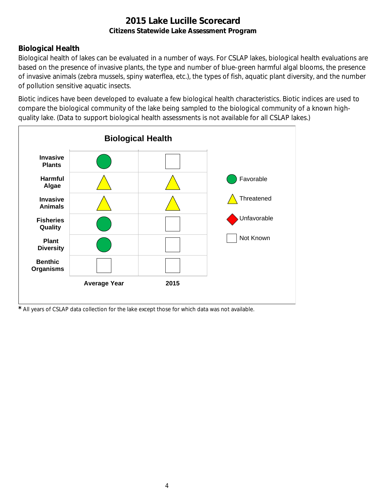# **Biological Health**

Biological health of lakes can be evaluated in a number of ways. For CSLAP lakes, biological health evaluations are based on the presence of invasive plants, the type and number of blue-green harmful algal blooms, the presence of invasive animals (zebra mussels, spiny waterflea, etc.), the types of fish, aquatic plant diversity, and the number of pollution sensitive aquatic insects.

Biotic indices have been developed to evaluate a few biological health characteristics. Biotic indices are used to compare the biological community of the lake being sampled to the biological community of a known highquality lake. (Data to support biological health assessments is not available for all CSLAP lakes.)



*\** All years of CSLAP data collection for the lake except those for which data was not available.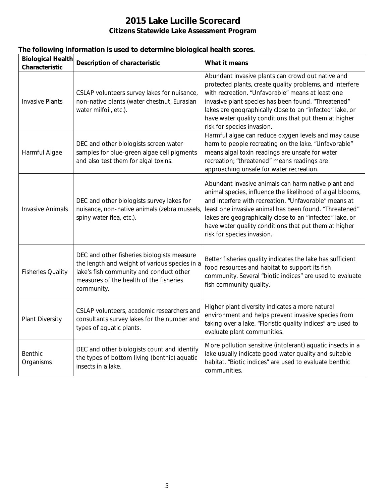| <b>Biological Health</b><br>Characteristic | Description of characteristic                                                                                                                                                                   | What it means                                                                                                                                                                                                                                                                                                                                                                          |
|--------------------------------------------|-------------------------------------------------------------------------------------------------------------------------------------------------------------------------------------------------|----------------------------------------------------------------------------------------------------------------------------------------------------------------------------------------------------------------------------------------------------------------------------------------------------------------------------------------------------------------------------------------|
| <b>Invasive Plants</b>                     | CSLAP volunteers survey lakes for nuisance,<br>non-native plants (water chestnut, Eurasian<br>water milfoil, etc.).                                                                             | Abundant invasive plants can crowd out native and<br>protected plants, create quality problems, and interfere<br>with recreation. "Unfavorable" means at least one<br>invasive plant species has been found. "Threatened"<br>lakes are geographically close to an "infected" lake, or<br>have water quality conditions that put them at higher<br>risk for species invasion.           |
| Harmful Algae                              | DEC and other biologists screen water<br>samples for blue-green algae cell pigments<br>and also test them for algal toxins.                                                                     | Harmful algae can reduce oxygen levels and may cause<br>harm to people recreating on the lake. "Unfavorable"<br>means algal toxin readings are unsafe for water<br>recreation; "threatened" means readings are<br>approaching unsafe for water recreation.                                                                                                                             |
| <b>Invasive Animals</b>                    | DEC and other biologists survey lakes for<br>nuisance, non-native animals (zebra mussels,<br>spiny water flea, etc.).                                                                           | Abundant invasive animals can harm native plant and<br>animal species, influence the likelihood of algal blooms,<br>and interfere with recreation. "Unfavorable" means at<br>least one invasive animal has been found. "Threatened"<br>lakes are geographically close to an "infected" lake, or<br>have water quality conditions that put them at higher<br>risk for species invasion. |
| <b>Fisheries Quality</b>                   | DEC and other fisheries biologists measure<br>the length and weight of various species in a<br>lake's fish community and conduct other<br>measures of the health of the fisheries<br>community. | Better fisheries quality indicates the lake has sufficient<br>food resources and habitat to support its fish<br>community. Several "biotic indices" are used to evaluate<br>fish community quality.                                                                                                                                                                                    |
| <b>Plant Diversity</b>                     | CSLAP volunteers, academic researchers and<br>consultants survey lakes for the number and<br>types of aquatic plants.                                                                           | Higher plant diversity indicates a more natural<br>environment and helps prevent invasive species from<br>taking over a lake. "Floristic quality indices" are used to<br>evaluate plant communities.                                                                                                                                                                                   |
| Benthic<br>Organisms                       | DEC and other biologists count and identify<br>the types of bottom living (benthic) aquatic<br>insects in a lake.                                                                               | More pollution sensitive (intolerant) aquatic insects in a<br>lake usually indicate good water quality and suitable<br>habitat. "Biotic indices" are used to evaluate benthic<br>communities.                                                                                                                                                                                          |

## **The following information is used to determine biological health scores.**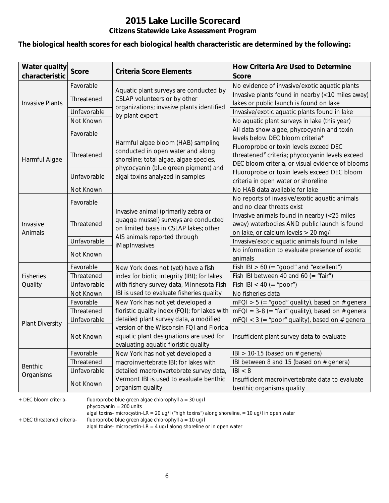#### **The biological health scores for each biological health characteristic are determined by the following:**

| <b>Water quality</b><br>characteristic | <b>Score</b>              | <b>Criteria Score Elements</b>                                                          | How Criteria Are Used to Determine<br><b>Score</b>                                                      |
|----------------------------------------|---------------------------|-----------------------------------------------------------------------------------------|---------------------------------------------------------------------------------------------------------|
|                                        | Favorable                 |                                                                                         | No evidence of invasive/exotic aquatic plants                                                           |
|                                        | Threatened                | Aquatic plant surveys are conducted by<br>CSLAP volunteers or by other                  | Invasive plants found in nearby (<10 miles away)                                                        |
| <b>Invasive Plants</b>                 |                           | organizations; invasive plants identified                                               | lakes or public launch is found on lake                                                                 |
|                                        | Unfavorable               | by plant expert                                                                         | Invasive/exotic aquatic plants found in lake                                                            |
|                                        | Not Known                 |                                                                                         | No aquatic plant surveys in lake (this year)                                                            |
|                                        | Favorable                 |                                                                                         | All data show algae, phycocyanin and toxin<br>levels below DEC bloom criteria <sup>+</sup>              |
|                                        |                           | Harmful algae bloom (HAB) sampling                                                      | Fluoroprobe or toxin levels exceed DEC                                                                  |
|                                        | Threatened                | conducted in open water and along                                                       | threatened# criteria; phycocyanin levels exceed                                                         |
| Harmful Algae                          |                           | shoreline; total algae, algae species,<br>phycocyanin (blue green pigment) and          | DEC bloom criteria, or visual evidence of blooms                                                        |
|                                        | Unfavorable               | algal toxins analyzed in samples                                                        | Fluoroprobe or toxin levels exceed DEC bloom                                                            |
|                                        |                           |                                                                                         | criteria in open water or shoreline                                                                     |
|                                        | Not Known                 |                                                                                         | No HAB data available for lake                                                                          |
|                                        | Favorable                 |                                                                                         | No reports of invasive/exotic aquatic animals                                                           |
|                                        |                           | Invasive animal (primarily zebra or                                                     | and no clear threats exist                                                                              |
|                                        | Threatened                | quagga mussel) surveys are conducted                                                    | Invasive animals found in nearby (<25 miles                                                             |
| Invasive                               |                           | on limited basis in CSLAP lakes; other                                                  | away) waterbodies AND public launch is found                                                            |
| Animals                                |                           | AIS animals reported through                                                            | on lake, or calcium levels > 20 mg/l                                                                    |
|                                        | Unfavorable               | iMapInvasives                                                                           | Invasive/exotic aquatic animals found in lake                                                           |
|                                        | Not Known                 |                                                                                         | No information to evaluate presence of exotic                                                           |
|                                        |                           |                                                                                         | animals                                                                                                 |
|                                        | Favorable                 | New York does not (yet) have a fish                                                     | Fish IBI $> 60$ (= "good" and "excellent")                                                              |
| <b>Fisheries</b><br>Quality            | Threatened                | index for biotic integrity (IBI); for lakes<br>with fishery survey data, Minnesota Fish | Fish IBI between 40 and 60 (= "fair")                                                                   |
|                                        | Unfavorable               | IBI is used to evaluate fisheries quality                                               | Fish IBI < 40 (= "poor")                                                                                |
|                                        | Not Known                 |                                                                                         | No fisheries data                                                                                       |
|                                        | Favorable                 | New York has not yet developed a<br>floristic quality index (FQI); for lakes with       | $mFQI > 5$ (= "good" quality), based on # genera                                                        |
|                                        | Threatened<br>Unfavorable | detailed plant survey data, a modified                                                  | $mFQI = 3-8 (= "fair" quality)$ , based on # genera<br>$mFQI < 3$ (= "poor" quality), based on # genera |
| <b>Plant Diversity</b>                 |                           | version of the Wisconsin FQI and Florida                                                |                                                                                                         |
|                                        | Not Known                 | aquatic plant designations are used for                                                 | Insufficient plant survey data to evaluate                                                              |
|                                        |                           | evaluating aquatic floristic quality                                                    |                                                                                                         |
|                                        | Favorable                 | New York has not yet developed a                                                        | IBI > 10-15 (based on $#$ genera)                                                                       |
|                                        | Threatened                | macroinvertebrate IBI; for lakes with                                                   | IBI between 8 and 15 (based on # genera)                                                                |
| <b>Benthic</b>                         | Unfavorable               | detailed macroinvertebrate survey data,                                                 | B  < 8                                                                                                  |
| Organisms                              |                           | Vermont IBI is used to evaluate benthic                                                 | Insufficient macroinvertebrate data to evaluate                                                         |
|                                        | Not Known                 | organism quality                                                                        | benthic organisms quality                                                                               |

**+** DEC bloom criteria- fluoroprobe blue green algae chlorophyll a = 30 ug/l

phycocyanin = 200 units

algal toxins- microcystin-LR = 20 ug/l ("high toxins") along shoreline, = 10 ug/l in open water

**+** DEC threatened criteria- fluoroprobe blue green algae chlorophyll a = 10 ug/l

algal toxins- microcystin-LR = 4 ug/l along shoreline or in open water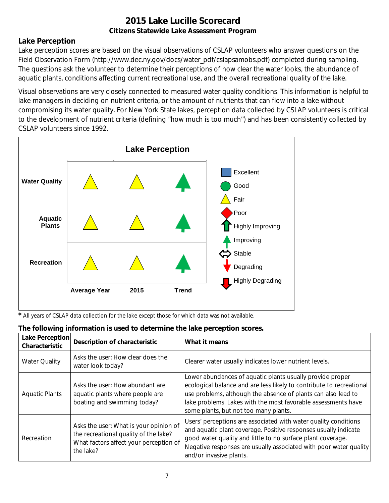## **Lake Perception**

Lake perception scores are based on the visual observations of CSLAP volunteers who answer questions on the Field Observation Form (http://www.dec.ny.gov/docs/water\_pdf/cslapsamobs.pdf) completed during sampling. The questions ask the volunteer to determine their perceptions of how clear the water looks, the abundance of aquatic plants, conditions affecting current recreational use, and the overall recreational quality of the lake.

Visual observations are very closely connected to measured water quality conditions. This information is helpful to lake managers in deciding on nutrient criteria, or the amount of nutrients that can flow into a lake without compromising its water quality. For New York State lakes, perception data collected by CSLAP volunteers is critical to the development of nutrient criteria (defining "how much is too much") and has been consistently collected by CSLAP volunteers since 1992.



*\** All years of CSLAP data collection for the lake except those for which data was not available.

| Lake Perception<br>Characteristic | <b>Description of characteristic</b>                                                                                                   | What it means                                                                                                                                                                                                                                                                                                |
|-----------------------------------|----------------------------------------------------------------------------------------------------------------------------------------|--------------------------------------------------------------------------------------------------------------------------------------------------------------------------------------------------------------------------------------------------------------------------------------------------------------|
| <b>Water Quality</b>              | Asks the user: How clear does the<br>water look today?                                                                                 | Clearer water usually indicates lower nutrient levels.                                                                                                                                                                                                                                                       |
| <b>Aquatic Plants</b>             | Asks the user: How abundant are<br>aquatic plants where people are<br>boating and swimming today?                                      | Lower abundances of aquatic plants usually provide proper<br>ecological balance and are less likely to contribute to recreational<br>use problems, although the absence of plants can also lead to<br>lake problems. Lakes with the most favorable assessments have<br>some plants, but not too many plants. |
| Recreation                        | Asks the user: What is your opinion of<br>the recreational quality of the lake?<br>What factors affect your perception of<br>the lake? | Users' perceptions are associated with water quality conditions<br>and aquatic plant coverage. Positive responses usually indicate<br>good water quality and little to no surface plant coverage.<br>Negative responses are usually associated with poor water quality<br>and/or invasive plants.            |

# **The following information is used to determine the lake perception scores.**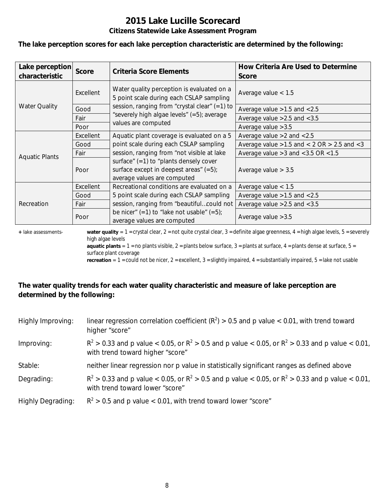**The lake perception scores for each lake perception characteristic are determined by the following:**

| Lake perception<br>characteristic | <b>Score</b> | <b>Criteria Score Elements</b>                                                                                       | How Criteria Are Used to Determine<br><b>Score</b>  |
|-----------------------------------|--------------|----------------------------------------------------------------------------------------------------------------------|-----------------------------------------------------|
|                                   | Excellent    | Water quality perception is evaluated on a<br>5 point scale during each CSLAP sampling                               | Average value $< 1.5$                               |
| <b>Water Quality</b>              | Good         | session, ranging from "crystal clear" $(=1)$ to                                                                      | Average value $>1.5$ and $< 2.5$                    |
|                                   | Fair         | "severely high algae levels" (=5); average                                                                           | Average value $>2.5$ and $< 3.5$                    |
|                                   | Poor         | values are computed                                                                                                  | Average value $>3.5$                                |
|                                   | Excellent    | Aquatic plant coverage is evaluated on a 5                                                                           | Average value $>2$ and $< 2.5$                      |
|                                   | Good         | point scale during each CSLAP sampling                                                                               | Average value $>1.5$ and $< 2$ OR $> 2.5$ and $< 3$ |
| <b>Aquatic Plants</b>             | Fair         | session, ranging from "not visible at lake                                                                           | Average value $>3$ and $<$ 3.5 OR $<$ 1.5           |
|                                   | Poor         | surface" $(=1)$ to "plants densely cover<br>surface except in deepest areas" $(=5)$ ;<br>average values are computed | Average value $> 3.5$                               |
|                                   | Excellent    | Recreational conditions are evaluated on a                                                                           | Average value $< 1.5$                               |
| Recreation                        | Good         | 5 point scale during each CSLAP sampling                                                                             | Average value $>1.5$ and $< 2.5$                    |
|                                   | Fair         | session, ranging from "beautifulcould not                                                                            | Average value $>2.5$ and $< 3.5$                    |
|                                   | Poor         | be nicer" $(=1)$ to "lake not usable" $(=5)$ ;<br>average values are computed                                        | Average value $>3.5$                                |

**+** lake assessments- **water quality** = 1 = crystal clear, 2 = not quite crystal clear, 3 = definite algae greenness, 4 = high algae levels, 5 = severely high algae levels

**aquatic plants** =  $1$  = no plants visible,  $2$  = plants below surface,  $3$  = plants at surface,  $4$  = plants dense at surface,  $5$  = surface plant coverage

**recreation** = 1 = could not be nicer, 2 = excellent, 3 = slightly impaired, 4 = substantially impaired, 5 = lake not usable

## **The water quality trends for each water quality characteristic and measure of lake perception are determined by the following:**

| Highly Improving:        | linear regression correlation coefficient ( $R^2$ ) > 0.5 and p value < 0.01, with trend toward<br>higher "score"                           |
|--------------------------|---------------------------------------------------------------------------------------------------------------------------------------------|
| Improving:               | $R^2 > 0.33$ and p value < 0.05, or $R^2 > 0.5$ and p value < 0.05, or $R^2 > 0.33$ and p value < 0.01,<br>with trend toward higher "score" |
| Stable:                  | neither linear regression nor p value in statistically significant ranges as defined above                                                  |
| Degrading:               | $R^2 > 0.33$ and p value < 0.05, or $R^2 > 0.5$ and p value < 0.05, or $R^2 > 0.33$ and p value < 0.01,<br>with trend toward lower "score"  |
| <b>Highly Degrading:</b> | $R^2 > 0.5$ and p value < 0.01, with trend toward lower "score"                                                                             |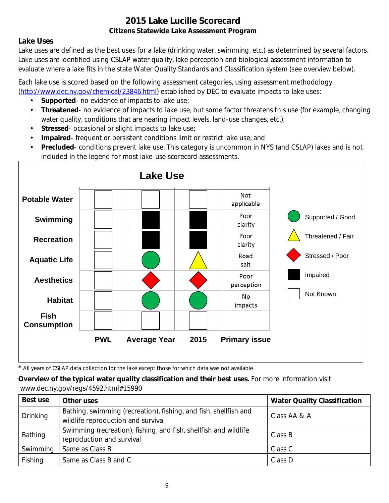## **Lake Uses**

Lake uses are defined as the best uses for a lake (drinking water, swimming, etc.) as determined by several factors. Lake uses are identified using CSLAP water quality, lake perception and biological assessment information to evaluate where a lake fits in the state Water Quality Standards and Classification system (see overview below).

Each lake use is scored based on the following assessment categories, using assessment methodology [\(http://www.dec.ny.gov/chemical/23846.html\)](http://www.dec.ny.gov/chemical/23846.html) established by DEC to evaluate impacts to lake uses:

- **Supported** no evidence of impacts to lake use;
- $\mathcal{L}^{\mathcal{L}}$ **Threatened**- no evidence of impacts to lake use, but some factor threatens this use (for example, changing water quality, conditions that are nearing impact levels, land-use changes, etc.);
- **Stressed** occasional or slight impacts to lake use;  $\mathbf{r}$
- **Impaired** frequent or persistent conditions limit or restrict lake use; and  $\mathbf{r}$
- **Precluded** conditions prevent lake use. This category is uncommon in NYS (and CSLAP) lakes and is not included in the legend for most lake-use scorecard assessments.



*\** All years of CSLAP data collection for the lake except those for which data was not available.

**Overview of the typical water quality classification and their best uses.** For more information visit www.dec.ny.gov/regs/4592.html#15990

| Best use                                                                                                           | Other uses                                                                                    | <b>Water Quality Classification</b> |
|--------------------------------------------------------------------------------------------------------------------|-----------------------------------------------------------------------------------------------|-------------------------------------|
| Bathing, swimming (recreation), fishing, and fish, shellfish and<br>Drinking<br>wildlife reproduction and survival |                                                                                               | Class AA & A                        |
| Bathing                                                                                                            | Swimming (recreation), fishing, and fish, shellfish and wildlife<br>reproduction and survival | Class B                             |
| Swimming                                                                                                           | Same as Class B                                                                               | Class C                             |
| Fishing                                                                                                            | Same as Class B and C                                                                         | Class D                             |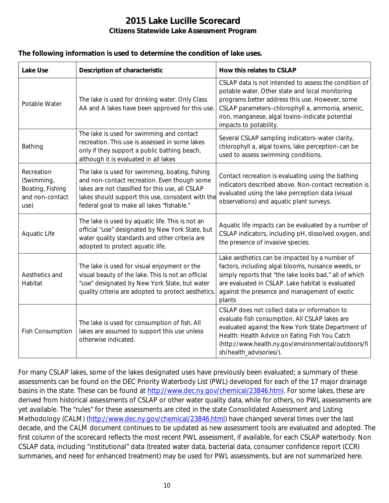#### **The following information is used to determine the condition of lake uses.**

| <b>Lake Use</b>                                                         | <b>Description of characteristic</b>                                                                                                                                                                                                                    | How this relates to CSLAP                                                                                                                                                                                                                                                                      |
|-------------------------------------------------------------------------|---------------------------------------------------------------------------------------------------------------------------------------------------------------------------------------------------------------------------------------------------------|------------------------------------------------------------------------------------------------------------------------------------------------------------------------------------------------------------------------------------------------------------------------------------------------|
| Potable Water                                                           | The lake is used for drinking water. Only Class<br>AA and A lakes have been approved for this use.                                                                                                                                                      | CSLAP data is not intended to assess the condition of<br>potable water. Other state and local monitoring<br>programs better address this use. However, some<br>CSLAP parameters-chlorophyll a, ammonia, arsenic,<br>iron, manganese, algal toxins-indicate potential<br>impacts to potability. |
| Bathing                                                                 | The lake is used for swimming and contact<br>recreation. This use is assessed in some lakes<br>only if they support a public bathing beach,<br>although it is evaluated in all lakes                                                                    | Several CSLAP sampling indicators-water clarity,<br>chlorophyll a, algal toxins, lake perception-can be<br>used to assess swimming conditions.                                                                                                                                                 |
| Recreation<br>(Swimming,<br>Boating, Fishing<br>and non-contact<br>use) | The lake is used for swimming, boating, fishing<br>and non-contact recreation. Even though some<br>lakes are not classified for this use, all CSLAP<br>lakes should support this use, consistent with the<br>federal goal to make all lakes "fishable." | Contact recreation is evaluating using the bathing<br>indicators described above. Non-contact recreation is<br>evaluated using the lake perception data (visual<br>observations) and aquatic plant surveys.                                                                                    |
| Aquatic Life                                                            | The lake is used by aquatic life. This is not an<br>official "use" designated by New York State, but<br>water quality standards and other criteria are<br>adopted to protect aquatic life.                                                              | Aquatic life impacts can be evaluated by a number of<br>CSLAP indicators, including pH, dissolved oxygen, and<br>the presence of invasive species.                                                                                                                                             |
| Aesthetics and<br>Habitat                                               | The lake is used for visual enjoyment or the<br>visual beauty of the lake. This is not an official<br>"use" designated by New York State, but water<br>quality criteria are adopted to protect aesthetics.                                              | Lake aesthetics can be impacted by a number of<br>factors, including algal blooms, nuisance weeds, or<br>simply reports that "the lake looks bad," all of which<br>are evaluated in CSLAP. Lake habitat is evaluated<br>against the presence and management of exotic<br>plants                |
| <b>Fish Consumption</b>                                                 | The lake is used for consumption of fish. All<br>lakes are assumed to support this use unless<br>otherwise indicated.                                                                                                                                   | CSLAP does not collect data or information to<br>evaluate fish consumption. All CSLAP lakes are<br>evaluated against the New York State Department of<br>Health: Health Advice on Eating Fish You Catch<br>(http://www.health.ny.gov/environmental/outdoors/fi<br>sh/health_advisories/).      |

For many CSLAP lakes, some of the lakes designated uses have previously been evaluated; a summary of these assessments can be found on the DEC Priority Waterbody List (PWL) developed for each of the 17 major drainage basins in the state. These can be found at [http://www.dec.ny.gov/chemical/23846.html.](http://www.dec.ny.gov/chemical/23846.html) For some lakes, these are derived from historical assessments of CSLAP or other water quality data, while for others, no PWL assessments are yet available. The "rules" for these assessments are cited in the state Consolidated Assessment and Listing Methodology (CALM) [\(http://www.dec.ny.gov/chemical/23846.html\)](http://www.dec.ny.gov/chemical/23846.html) have changed several times over the last decade, and the CALM document continues to be updated as new assessment tools are evaluated and adopted. The first column of the scorecard reflects the most recent PWL assessment, if available, for each CSLAP waterbody. Non CSLAP data, including "institutional" data (treated water data, bacterial data, consumer confidence report (CCR) summaries, and need for enhanced treatment) may be used for PWL assessments, but are not summarized here.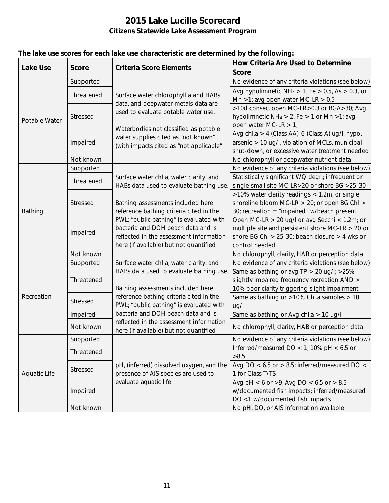| <b>Lake Use</b><br><b>Score</b> |            | <b>Criteria Score Elements</b>                                                    | How Criteria Are Used to Determine                         |
|---------------------------------|------------|-----------------------------------------------------------------------------------|------------------------------------------------------------|
|                                 |            |                                                                                   | <b>Score</b>                                               |
|                                 | Supported  |                                                                                   | No evidence of any criteria violations (see below)         |
|                                 | Threatened | Surface water chlorophyll a and HABs                                              | Avg hypolimnetic $NH_4 > 1$ , Fe $> 0.5$ , As $> 0.3$ , or |
|                                 |            | data, and deepwater metals data are                                               | Mn >1; avg open water MC-LR > $0.5$                        |
|                                 |            | used to evaluate potable water use.                                               | >10d consec. open MC-LR>0.3 or BGA>30; Avg                 |
| Potable Water                   | Stressed   |                                                                                   | hypolimnetic $NH_4 > 2$ , Fe $> 1$ or Mn $>1$ ; avg        |
|                                 |            | Waterbodies not classified as potable                                             | open water MC-LR $> 1$ ,                                   |
|                                 |            | water supplies cited as "not known"                                               | Avg chl.a > 4 (Class AA)-6 (Class A) ug/l, hypo.           |
|                                 | Impaired   | (with impacts cited as "not applicable"                                           | arsenic > 10 ug/l, violation of MCLs, municipal            |
|                                 |            |                                                                                   | shut-down, or excessive water treatment needed             |
|                                 | Not known  |                                                                                   | No chlorophyll or deepwater nutrient data                  |
|                                 | Supported  |                                                                                   | No evidence of any criteria violations (see below)         |
|                                 | Threatened | Surface water chl a, water clarity, and                                           | Statistically significant WQ degr.; infrequent or          |
|                                 |            | HABs data used to evaluate bathing use.                                           | single small site MC-LR>20 or shore BG >25-30              |
|                                 |            |                                                                                   | >10% water clarity readings < 1.2m; or single              |
|                                 | Stressed   | Bathing assessments included here                                                 | shoreline bloom MC-LR > 20; or open BG Chl >               |
| Bathing                         |            | reference bathing criteria cited in the                                           | 30; recreation = "impaired" w/beach present                |
|                                 |            | PWL; "public bathing" is evaluated with                                           | Open MC-LR > 20 ug/l or avg Secchi < 1.2m; or              |
|                                 | Impaired   | bacteria and DOH beach data and is                                                | multiple site and persistent shore MC-LR $>$ 20 or         |
|                                 |            | reflected in the assessment information                                           | shore BG Chl > $25-30$ ; beach closure > 4 wks or          |
|                                 |            | here (if available) but not quantified                                            | control needed                                             |
|                                 | Not known  |                                                                                   | No chlorophyll, clarity, HAB or perception data            |
|                                 | Supported  | Surface water chl a, water clarity, and                                           | No evidence of any criteria violations (see below)         |
|                                 |            | HABs data used to evaluate bathing use.                                           | Same as bathing or avg TP > 20 ug/l; >25%                  |
|                                 | Threatened |                                                                                   | slightly impaired frequency recreation AND >               |
|                                 |            | Bathing assessments included here                                                 | 10% poor clarity triggering slight impairment              |
| Recreation                      | Stressed   | reference bathing criteria cited in the                                           | Same as bathing or >10% Chl.a samples > 10                 |
|                                 |            | PWL; "public bathing" is evaluated with                                           | uq/l                                                       |
|                                 | Impaired   | bacteria and DOH beach data and is                                                | Same as bathing or Avg chl.a > 10 ug/l                     |
|                                 | Not known  | reflected in the assessment information<br>here (if available) but not quantified | No chlorophyll, clarity, HAB or perception data            |
|                                 | Supported  |                                                                                   | No evidence of any criteria violations (see below)         |
|                                 |            |                                                                                   | Inferred/measured DO < 1; 10% pH < $6.5$ or                |
|                                 | Threatened |                                                                                   | >8.5                                                       |
|                                 | Stressed   | pH, (inferred) dissolved oxygen, and the                                          | Avg DO < $6.5$ or > $8.5$ ; inferred/measured DO <         |
| <b>Aquatic Life</b>             |            | presence of AIS species are used to                                               | 1 for Class T/TS                                           |
|                                 |            | evaluate aquatic life                                                             | Avg pH < 6 or >9; Avg DO < 6.5 or > 8.5                    |
|                                 | Impaired   |                                                                                   | w/documented fish impacts; inferred/measured               |
|                                 |            |                                                                                   | DO <1 w/documented fish impacts                            |
|                                 | Not known  |                                                                                   | No pH, DO, or AIS information available                    |

## **The lake use scores for each lake use characteristic are determined by the following:**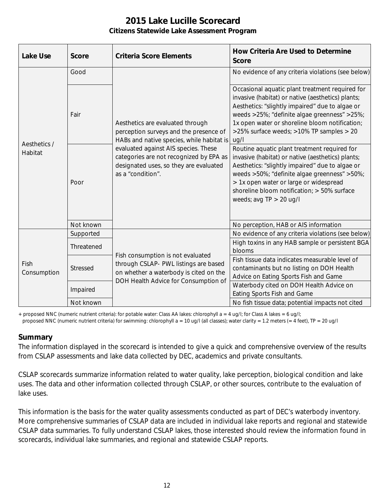| <b>Lake Use</b>         | <b>Score</b>    | <b>Criteria Score Elements</b>                                                                                                                                                                                                                                            | <b>How Criteria Are Used to Determine</b><br><b>Score</b>                                                                                                                                                                                                                                                                  |
|-------------------------|-----------------|---------------------------------------------------------------------------------------------------------------------------------------------------------------------------------------------------------------------------------------------------------------------------|----------------------------------------------------------------------------------------------------------------------------------------------------------------------------------------------------------------------------------------------------------------------------------------------------------------------------|
| Aesthetics /<br>Habitat | Good            | Aesthetics are evaluated through<br>perception surveys and the presence of<br>HABs and native species, while habitat is<br>evaluated against AIS species. These<br>categories are not recognized by EPA as<br>designated uses, so they are evaluated<br>as a "condition". | No evidence of any criteria violations (see below)                                                                                                                                                                                                                                                                         |
|                         | Fair            |                                                                                                                                                                                                                                                                           | Occasional aquatic plant treatment required for<br>invasive (habitat) or native (aesthetics) plants;<br>Aesthetics: "slightly impaired" due to algae or<br>weeds >25%; "definite algae greenness" >25%;<br>1x open water or shoreline bloom notification;<br>>25% surface weeds; >10% TP samples > 20<br>ug/l              |
|                         | Poor            |                                                                                                                                                                                                                                                                           | Routine aquatic plant treatment required for<br>invasive (habitat) or native (aesthetics) plants;<br>Aesthetics: "slightly impaired" due to algae or<br>weeds >50%; "definite algae greenness" >50%;<br>> 1x open water or large or widespread<br>shoreline bloom notification; > 50% surface<br>weeds; avg $TP > 20$ ug/l |
|                         | Not known       |                                                                                                                                                                                                                                                                           | No perception, HAB or AIS information                                                                                                                                                                                                                                                                                      |
| Fish<br>Consumption     | Supported       | Fish consumption is not evaluated<br>through CSLAP- PWL listings are based<br>on whether a waterbody is cited on the<br>DOH Health Advice for Consumption of                                                                                                              | No evidence of any criteria violations (see below)                                                                                                                                                                                                                                                                         |
|                         | Threatened      |                                                                                                                                                                                                                                                                           | High toxins in any HAB sample or persistent BGA<br>blooms                                                                                                                                                                                                                                                                  |
|                         | <b>Stressed</b> |                                                                                                                                                                                                                                                                           | Fish tissue data indicates measurable level of<br>contaminants but no listing on DOH Health<br>Advice on Eating Sports Fish and Game                                                                                                                                                                                       |
|                         | Impaired        |                                                                                                                                                                                                                                                                           | Waterbody cited on DOH Health Advice on<br>Eating Sports Fish and Game                                                                                                                                                                                                                                                     |
|                         | Not known       |                                                                                                                                                                                                                                                                           | No fish tissue data; potential impacts not cited                                                                                                                                                                                                                                                                           |

+ proposed NNC (numeric nutrient criteria): for potable water: Class AA lakes: chlorophyll a = 4 ug/l; for Class A lakes = 6 ug/l;

#### proposed NNC (numeric nutrient criteria) for swimming: chlorophyll a = 10 ug/l (all classes); water clarity = 1.2 meters (= 4 feet), TP = 20 ug/l

#### **Summary**

The information displayed in the scorecard is intended to give a quick and comprehensive overview of the results from CSLAP assessments and lake data collected by DEC, academics and private consultants.

CSLAP scorecards summarize information related to water quality, lake perception, biological condition and lake uses. The data and other information collected through CSLAP, or other sources, contribute to the evaluation of lake uses.

This information is the basis for the water quality assessments conducted as part of DEC's waterbody inventory. More comprehensive summaries of CSLAP data are included in individual lake reports and regional and statewide CSLAP data summaries. To fully understand CSLAP lakes, those interested should review the information found in scorecards, individual lake summaries, and regional and statewide CSLAP reports.